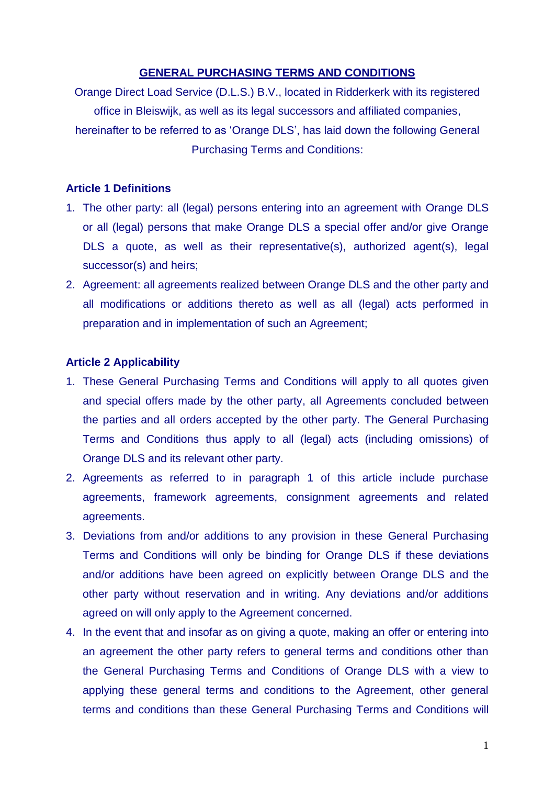### **GENERAL PURCHASING TERMS AND CONDITIONS**

Orange Direct Load Service (D.L.S.) B.V., located in Ridderkerk with its registered office in Bleiswijk, as well as its legal successors and affiliated companies, hereinafter to be referred to as 'Orange DLS', has laid down the following General Purchasing Terms and Conditions:

### **Article 1 Definitions**

- 1. The other party: all (legal) persons entering into an agreement with Orange DLS or all (legal) persons that make Orange DLS a special offer and/or give Orange DLS a quote, as well as their representative(s), authorized agent(s), legal successor(s) and heirs;
- 2. Agreement: all agreements realized between Orange DLS and the other party and all modifications or additions thereto as well as all (legal) acts performed in preparation and in implementation of such an Agreement;

### **Article 2 Applicability**

- 1. These General Purchasing Terms and Conditions will apply to all quotes given and special offers made by the other party, all Agreements concluded between the parties and all orders accepted by the other party. The General Purchasing Terms and Conditions thus apply to all (legal) acts (including omissions) of Orange DLS and its relevant other party.
- 2. Agreements as referred to in paragraph 1 of this article include purchase agreements, framework agreements, consignment agreements and related agreements.
- 3. Deviations from and/or additions to any provision in these General Purchasing Terms and Conditions will only be binding for Orange DLS if these deviations and/or additions have been agreed on explicitly between Orange DLS and the other party without reservation and in writing. Any deviations and/or additions agreed on will only apply to the Agreement concerned.
- 4. In the event that and insofar as on giving a quote, making an offer or entering into an agreement the other party refers to general terms and conditions other than the General Purchasing Terms and Conditions of Orange DLS with a view to applying these general terms and conditions to the Agreement, other general terms and conditions than these General Purchasing Terms and Conditions will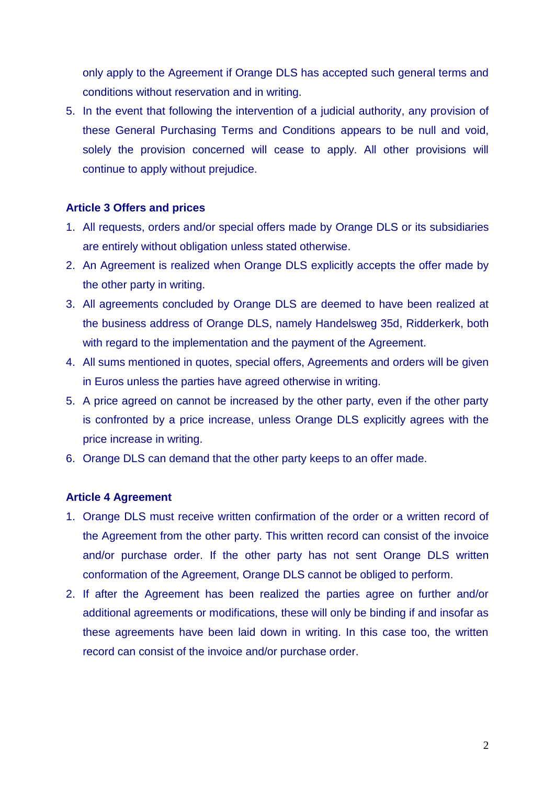only apply to the Agreement if Orange DLS has accepted such general terms and conditions without reservation and in writing.

5. In the event that following the intervention of a judicial authority, any provision of these General Purchasing Terms and Conditions appears to be null and void, solely the provision concerned will cease to apply. All other provisions will continue to apply without prejudice.

## **Article 3 Offers and prices**

- 1. All requests, orders and/or special offers made by Orange DLS or its subsidiaries are entirely without obligation unless stated otherwise.
- 2. An Agreement is realized when Orange DLS explicitly accepts the offer made by the other party in writing.
- 3. All agreements concluded by Orange DLS are deemed to have been realized at the business address of Orange DLS, namely Handelsweg 35d, Ridderkerk, both with regard to the implementation and the payment of the Agreement.
- 4. All sums mentioned in quotes, special offers, Agreements and orders will be given in Euros unless the parties have agreed otherwise in writing.
- 5. A price agreed on cannot be increased by the other party, even if the other party is confronted by a price increase, unless Orange DLS explicitly agrees with the price increase in writing.
- 6. Orange DLS can demand that the other party keeps to an offer made.

## **Article 4 Agreement**

- 1. Orange DLS must receive written confirmation of the order or a written record of the Agreement from the other party. This written record can consist of the invoice and/or purchase order. If the other party has not sent Orange DLS written conformation of the Agreement, Orange DLS cannot be obliged to perform.
- 2. If after the Agreement has been realized the parties agree on further and/or additional agreements or modifications, these will only be binding if and insofar as these agreements have been laid down in writing. In this case too, the written record can consist of the invoice and/or purchase order.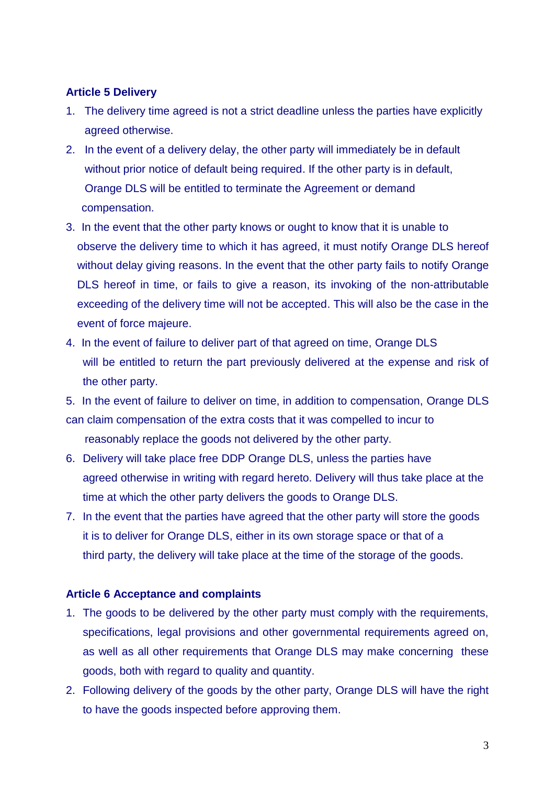## **Article 5 Delivery**

- 1. The delivery time agreed is not a strict deadline unless the parties have explicitly agreed otherwise.
- 2. In the event of a delivery delay, the other party will immediately be in default without prior notice of default being required. If the other party is in default, Orange DLS will be entitled to terminate the Agreement or demand compensation.
- 3. In the event that the other party knows or ought to know that it is unable to observe the delivery time to which it has agreed, it must notify Orange DLS hereof without delay giving reasons. In the event that the other party fails to notify Orange DLS hereof in time, or fails to give a reason, its invoking of the non-attributable exceeding of the delivery time will not be accepted. This will also be the case in the event of force majeure.
- 4. In the event of failure to deliver part of that agreed on time, Orange DLS will be entitled to return the part previously delivered at the expense and risk of the other party.

5. In the event of failure to deliver on time, in addition to compensation, Orange DLS can claim compensation of the extra costs that it was compelled to incur to reasonably replace the goods not delivered by the other party.

- 6. Delivery will take place free DDP Orange DLS, unless the parties have agreed otherwise in writing with regard hereto. Delivery will thus take place at the time at which the other party delivers the goods to Orange DLS.
- 7. In the event that the parties have agreed that the other party will store the goods it is to deliver for Orange DLS, either in its own storage space or that of a third party, the delivery will take place at the time of the storage of the goods.

## **Article 6 Acceptance and complaints**

- 1. The goods to be delivered by the other party must comply with the requirements, specifications, legal provisions and other governmental requirements agreed on, as well as all other requirements that Orange DLS may make concerning these goods, both with regard to quality and quantity.
- 2. Following delivery of the goods by the other party, Orange DLS will have the right to have the goods inspected before approving them.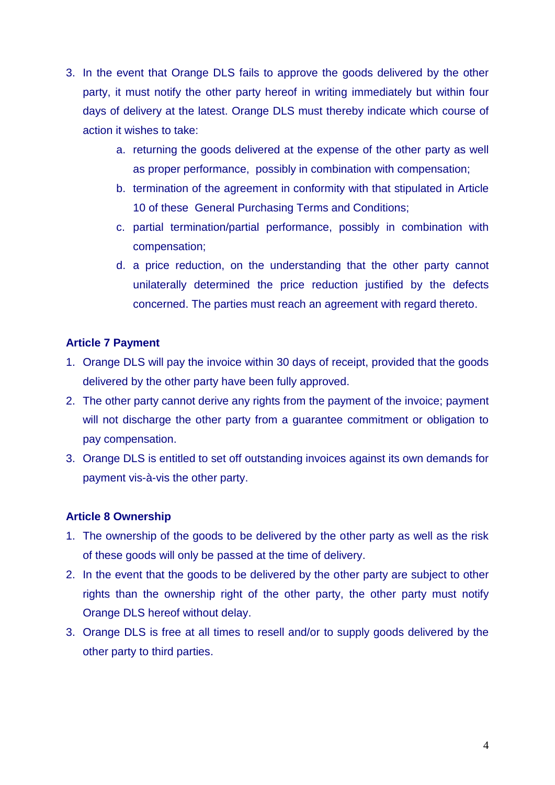- 3. In the event that Orange DLS fails to approve the goods delivered by the other party, it must notify the other party hereof in writing immediately but within four days of delivery at the latest. Orange DLS must thereby indicate which course of action it wishes to take:
	- a. returning the goods delivered at the expense of the other party as well as proper performance, possibly in combination with compensation;
	- b. termination of the agreement in conformity with that stipulated in Article 10 of these General Purchasing Terms and Conditions;
	- c. partial termination/partial performance, possibly in combination with compensation;
	- d. a price reduction, on the understanding that the other party cannot unilaterally determined the price reduction justified by the defects concerned. The parties must reach an agreement with regard thereto.

## **Article 7 Payment**

- 1. Orange DLS will pay the invoice within 30 days of receipt, provided that the goods delivered by the other party have been fully approved.
- 2. The other party cannot derive any rights from the payment of the invoice; payment will not discharge the other party from a guarantee commitment or obligation to pay compensation.
- 3. Orange DLS is entitled to set off outstanding invoices against its own demands for payment vis-à-vis the other party.

## **Article 8 Ownership**

- 1. The ownership of the goods to be delivered by the other party as well as the risk of these goods will only be passed at the time of delivery.
- 2. In the event that the goods to be delivered by the other party are subject to other rights than the ownership right of the other party, the other party must notify Orange DLS hereof without delay.
- 3. Orange DLS is free at all times to resell and/or to supply goods delivered by the other party to third parties.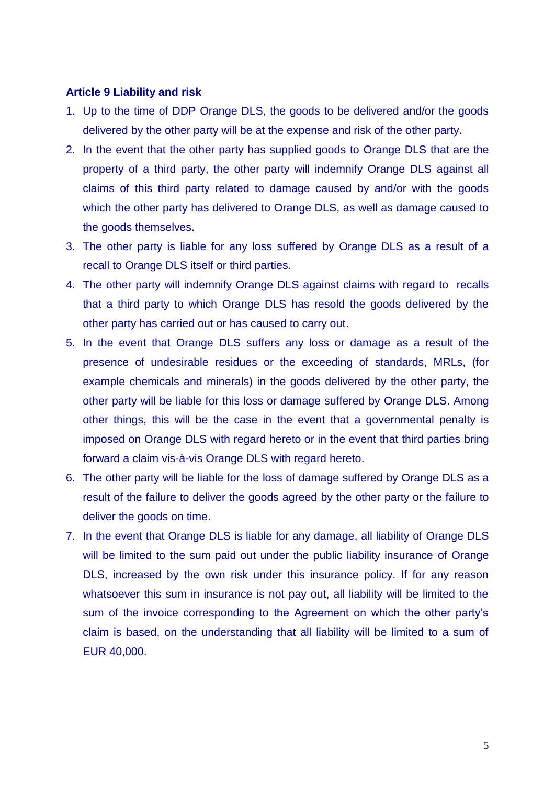#### **Article 9 Liability and risk**

- 1. Up to the time of DDP Orange DLS, the goods to be delivered and/or the goods delivered by the other party will be at the expense and risk of the other party.
- 2. In the event that the other party has supplied goods to Orange DLS that are the property of a third party, the other party will indemnify Orange DLS against all claims of this third party related to damage caused by and/or with the goods which the other party has delivered to Orange DLS, as well as damage caused to the goods themselves.
- 3. The other party is liable for any loss suffered by Orange DLS as a result of a recall to Orange DLS itself or third parties.
- 4. The other party will indemnify Orange DLS against claims with regard to recalls that a third party to which Orange DLS has resold the goods delivered by the other party has carried out or has caused to carry out.
- 5. In the event that Orange DLS suffers any loss or damage as a result of the presence of undesirable residues or the exceeding of standards, MRLs, (for example chemicals and minerals) in the goods delivered by the other party, the other party will be liable for this loss or damage suffered by Orange DLS. Among other things, this will be the case in the event that a governmental penalty is imposed on Orange DLS with regard hereto or in the event that third parties bring forward a claim vis-à-vis Orange DLS with regard hereto.
- 6. The other party will be liable for the loss of damage suffered by Orange DLS as a result of the failure to deliver the goods agreed by the other party or the failure to deliver the goods on time.
- 7. In the event that Orange DLS is liable for any damage, all liability of Orange DLS will be limited to the sum paid out under the public liability insurance of Orange DLS, increased by the own risk under this insurance policy. If for any reason whatsoever this sum in insurance is not pay out, all liability will be limited to the sum of the invoice corresponding to the Agreement on which the other party's claim is based, on the understanding that all liability will be limited to a sum of EUR 40,000.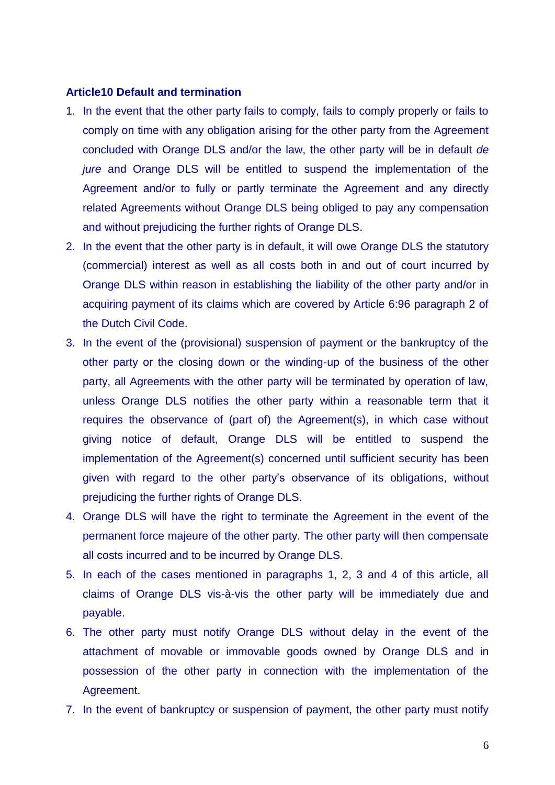#### **Article10 Default and termination**

- 1. In the event that the other party fails to comply, fails to comply properly or fails to comply on time with any obligation arising for the other party from the Agreement concluded with Orange DLS and/or the law, the other party will be in default *de jure* and Orange DLS will be entitled to suspend the implementation of the Agreement and/or to fully or partly terminate the Agreement and any directly related Agreements without Orange DLS being obliged to pay any compensation and without prejudicing the further rights of Orange DLS.
- 2. In the event that the other party is in default, it will owe Orange DLS the statutory (commercial) interest as well as all costs both in and out of court incurred by Orange DLS within reason in establishing the liability of the other party and/or in acquiring payment of its claims which are covered by Article 6:96 paragraph 2 of the Dutch Civil Code.
- 3. In the event of the (provisional) suspension of payment or the bankruptcy of the other party or the closing down or the winding-up of the business of the other party, all Agreements with the other party will be terminated by operation of law, unless Orange DLS notifies the other party within a reasonable term that it requires the observance of (part of) the Agreement(s), in which case without giving notice of default, Orange DLS will be entitled to suspend the implementation of the Agreement(s) concerned until sufficient security has been given with regard to the other party's observance of its obligations, without prejudicing the further rights of Orange DLS.
- 4. Orange DLS will have the right to terminate the Agreement in the event of the permanent force majeure of the other party. The other party will then compensate all costs incurred and to be incurred by Orange DLS.
- 5. In each of the cases mentioned in paragraphs 1, 2, 3 and 4 of this article, all claims of Orange DLS vis-à-vis the other party will be immediately due and payable.
- 6. The other party must notify Orange DLS without delay in the event of the attachment of movable or immovable goods owned by Orange DLS and in possession of the other party in connection with the implementation of the Agreement.
- 7. In the event of bankruptcy or suspension of payment, the other party must notify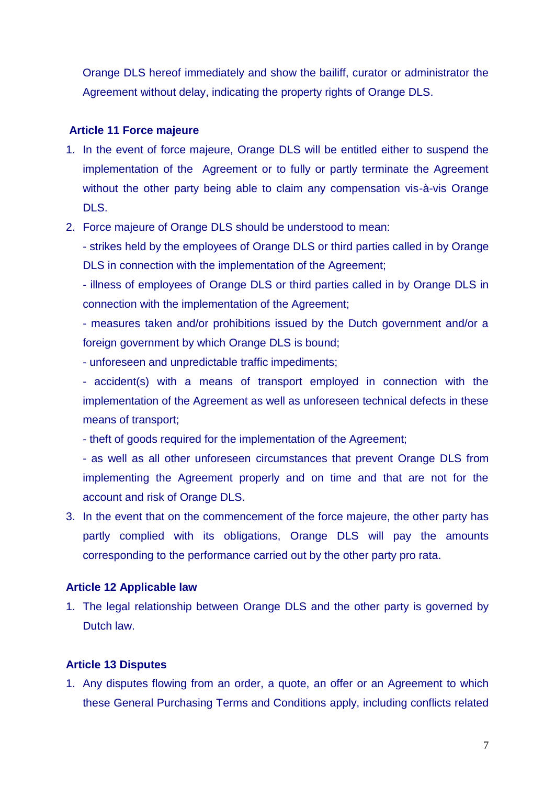Orange DLS hereof immediately and show the bailiff, curator or administrator the Agreement without delay, indicating the property rights of Orange DLS.

## **Article 11 Force majeure**

- 1. In the event of force majeure, Orange DLS will be entitled either to suspend the implementation of the Agreement or to fully or partly terminate the Agreement without the other party being able to claim any compensation vis-à-vis Orange DLS.
- 2. Force majeure of Orange DLS should be understood to mean:

- strikes held by the employees of Orange DLS or third parties called in by Orange DLS in connection with the implementation of the Agreement;

- illness of employees of Orange DLS or third parties called in by Orange DLS in connection with the implementation of the Agreement;

- measures taken and/or prohibitions issued by the Dutch government and/or a foreign government by which Orange DLS is bound;

- unforeseen and unpredictable traffic impediments;

- accident(s) with a means of transport employed in connection with the implementation of the Agreement as well as unforeseen technical defects in these means of transport;

- theft of goods required for the implementation of the Agreement;

- as well as all other unforeseen circumstances that prevent Orange DLS from implementing the Agreement properly and on time and that are not for the account and risk of Orange DLS.

3. In the event that on the commencement of the force majeure, the other party has partly complied with its obligations, Orange DLS will pay the amounts corresponding to the performance carried out by the other party pro rata.

# **Article 12 Applicable law**

1. The legal relationship between Orange DLS and the other party is governed by Dutch law.

# **Article 13 Disputes**

1. Any disputes flowing from an order, a quote, an offer or an Agreement to which these General Purchasing Terms and Conditions apply, including conflicts related